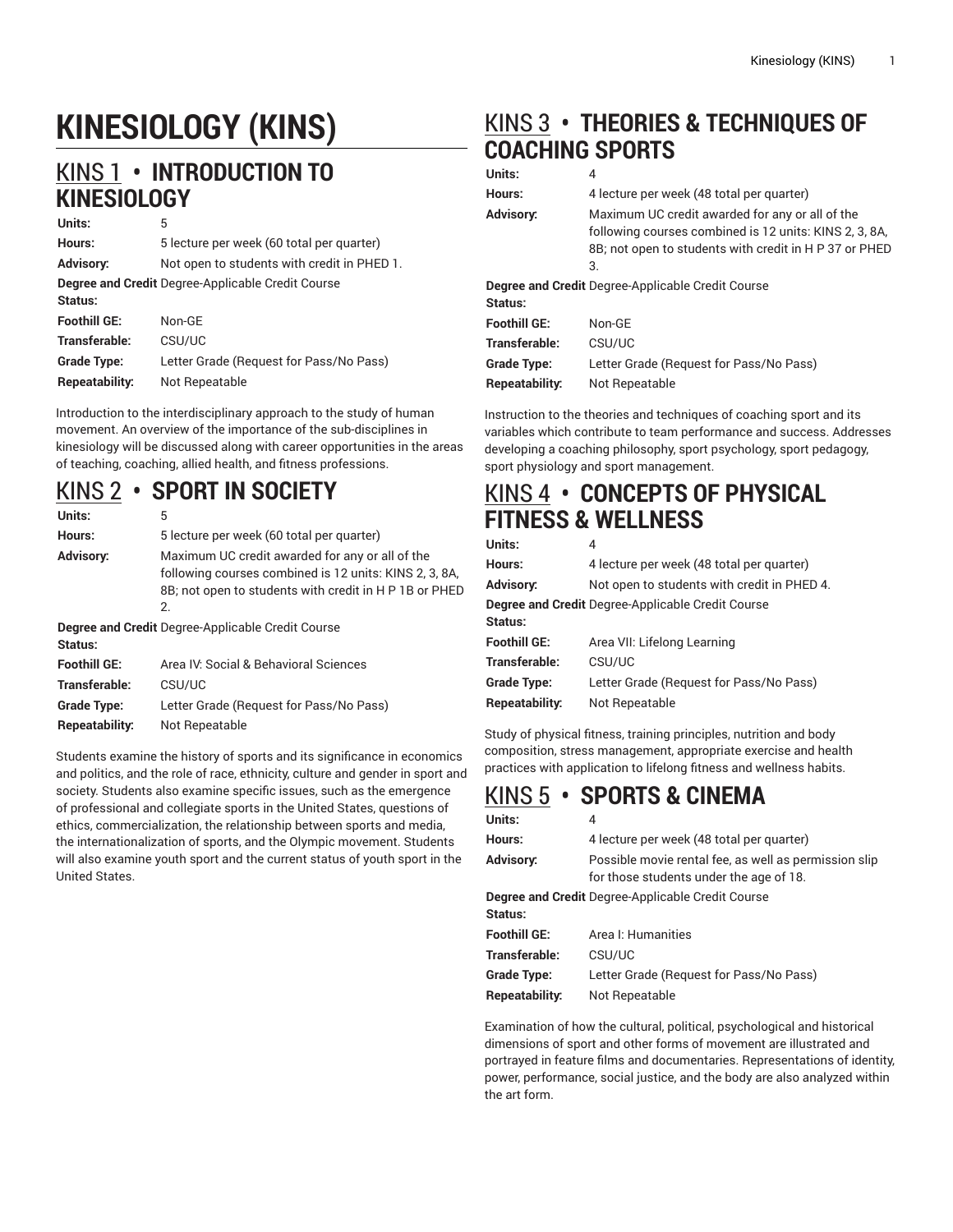# **KINESIOLOGY (KINS)**

## [KINS 1](http://catalog.foothill.edu/course-outlines/KINS-1/) **• INTRODUCTION TO KINESIOLOGY**

| Units:                                                       | 5                                           |  |
|--------------------------------------------------------------|---------------------------------------------|--|
| Hours:                                                       | 5 lecture per week (60 total per quarter)   |  |
| <b>Advisory:</b>                                             | Not open to students with credit in PHED 1. |  |
| Degree and Credit Degree-Applicable Credit Course<br>Status: |                                             |  |
| <b>Foothill GE:</b>                                          | Non-GF                                      |  |
| Transferable:                                                | CSU/UC                                      |  |
| <b>Grade Type:</b>                                           | Letter Grade (Request for Pass/No Pass)     |  |
| Repeatability:                                               | Not Repeatable                              |  |

Introduction to the interdisciplinary approach to the study of human movement. An overview of the importance of the sub-disciplines in kinesiology will be discussed along with career opportunities in the areas of teaching, coaching, allied health, and fitness professions.

### [KINS 2](http://catalog.foothill.edu/course-outlines/KINS-2/) **• SPORT IN SOCIETY**

| Units:                                                              | 5                                                                                                                                                                         |  |  |
|---------------------------------------------------------------------|---------------------------------------------------------------------------------------------------------------------------------------------------------------------------|--|--|
| Hours:                                                              | 5 lecture per week (60 total per quarter)                                                                                                                                 |  |  |
| Advisory:                                                           | Maximum UC credit awarded for any or all of the<br>following courses combined is 12 units: KINS 2, 3, 8A,<br>8B; not open to students with credit in H P 1B or PHED<br>2. |  |  |
| <b>Degree and Credit Degree-Applicable Credit Course</b><br>Status: |                                                                                                                                                                           |  |  |
| <b>Foothill GE:</b>                                                 | Area IV, Social & Behavioral Sciences                                                                                                                                     |  |  |
| _ _ _                                                               |                                                                                                                                                                           |  |  |

**Transferable:** CSU/UC **Grade Type:** Letter Grade (Request for Pass/No Pass) **Repeatability:** Not Repeatable

Students examine the history of sports and its significance in economics and politics, and the role of race, ethnicity, culture and gender in sport and society. Students also examine specific issues, such as the emergence of professional and collegiate sports in the United States, questions of ethics, commercialization, the relationship between sports and media, the internationalization of sports, and the Olympic movement. Students will also examine youth sport and the current status of youth sport in the United States.

# [KINS 3](http://catalog.foothill.edu/course-outlines/KINS-3/) **• THEORIES & TECHNIQUES OF COACHING SPORTS**

#### **Units:** 4 **Hours:** 4 lecture per week (48 total per quarter) **Advisory:** Maximum UC credit awarded for any or all of the following courses combined is 12 units: KINS 2, 3, 8A, 8B; not open to students with credit in H P 37 or PHED 3. **Degree and Credit** Degree-Applicable Credit Course **Status: Foothill GE:** Non-GE **Transferable:** CSU/UC **Grade Type:** Letter Grade (Request for Pass/No Pass) **Repeatability:** Not Repeatable

Instruction to the theories and techniques of coaching sport and its variables which contribute to team performance and success. Addresses developing a coaching philosophy, sport psychology, sport pedagogy, sport physiology and sport management.

### [KINS 4](http://catalog.foothill.edu/course-outlines/KINS-4/) **• CONCEPTS OF PHYSICAL FITNESS & WELLNESS**

| Units:                                                       | 4                                           |  |
|--------------------------------------------------------------|---------------------------------------------|--|
| Hours:                                                       | 4 lecture per week (48 total per quarter)   |  |
| <b>Advisory:</b>                                             | Not open to students with credit in PHED 4. |  |
| Degree and Credit Degree-Applicable Credit Course<br>Status: |                                             |  |
| <b>Foothill GE:</b>                                          | Area VII: Lifelong Learning                 |  |
| Transferable:                                                | CSU/UC                                      |  |
| <b>Grade Type:</b>                                           | Letter Grade (Request for Pass/No Pass)     |  |
| Repeatability:                                               | Not Repeatable                              |  |

Study of physical fitness, training principles, nutrition and body composition, stress management, appropriate exercise and health practices with application to lifelong fitness and wellness habits.

# [KINS 5](http://catalog.foothill.edu/course-outlines/KINS-5/) **• SPORTS & CINEMA**

| Units:                                                   | 4                                                                                                |  |
|----------------------------------------------------------|--------------------------------------------------------------------------------------------------|--|
| Hours:                                                   | 4 lecture per week (48 total per quarter)                                                        |  |
| <b>Advisory:</b>                                         | Possible movie rental fee, as well as permission slip<br>for those students under the age of 18. |  |
| <b>Degree and Credit</b> Degree-Applicable Credit Course |                                                                                                  |  |
| Status:                                                  |                                                                                                  |  |
| <b>Foothill GE:</b>                                      | Area I: Humanities                                                                               |  |
| Transferable:                                            | CSU/UC                                                                                           |  |
| <b>Grade Type:</b>                                       | Letter Grade (Request for Pass/No Pass)                                                          |  |
| Repeatability:                                           | Not Repeatable                                                                                   |  |

Examination of how the cultural, political, psychological and historical dimensions of sport and other forms of movement are illustrated and portrayed in feature films and documentaries. Representations of identity, power, performance, social justice, and the body are also analyzed within the art form.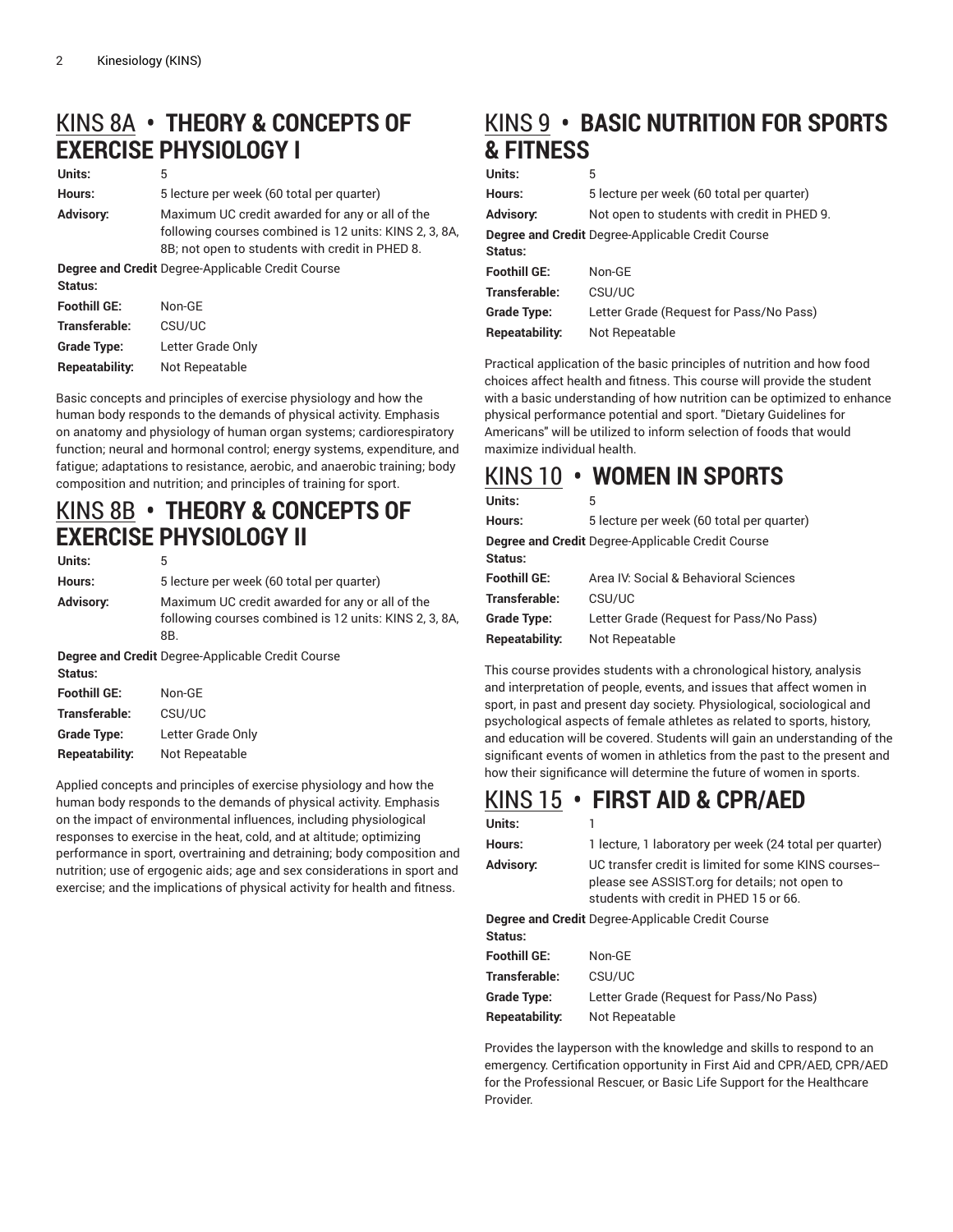# [KINS 8A](http://catalog.foothill.edu/course-outlines/KINS-8A/) **• THEORY & CONCEPTS OF EXERCISE PHYSIOLOGY I**

| Units:                                                   | 5                                                                                                                                                            |  |  |
|----------------------------------------------------------|--------------------------------------------------------------------------------------------------------------------------------------------------------------|--|--|
| Hours:                                                   | 5 lecture per week (60 total per quarter)                                                                                                                    |  |  |
| Advisory:                                                | Maximum UC credit awarded for any or all of the<br>following courses combined is 12 units: KINS 2, 3, 8A,<br>8B; not open to students with credit in PHED 8. |  |  |
| <b>Degree and Credit Degree-Applicable Credit Course</b> |                                                                                                                                                              |  |  |
| Status:                                                  |                                                                                                                                                              |  |  |
| <b>Foothill GE:</b>                                      | Non-GE                                                                                                                                                       |  |  |
| Transferable:                                            | CSU/UC                                                                                                                                                       |  |  |
| Grade Type:                                              | Letter Grade Only                                                                                                                                            |  |  |
| Repeatability:                                           | Not Repeatable                                                                                                                                               |  |  |

Basic concepts and principles of exercise physiology and how the human body responds to the demands of physical activity. Emphasis on anatomy and physiology of human organ systems; cardiorespiratory function; neural and hormonal control; energy systems, expenditure, and fatigue; adaptations to resistance, aerobic, and anaerobic training; body composition and nutrition; and principles of training for sport.

### [KINS 8B](http://catalog.foothill.edu/course-outlines/KINS-8B/) **• THEORY & CONCEPTS OF EXERCISE PHYSIOLOGY II**

| Units:                                                              | 5                                                                                                                |  |
|---------------------------------------------------------------------|------------------------------------------------------------------------------------------------------------------|--|
| Hours:                                                              | 5 lecture per week (60 total per quarter)                                                                        |  |
| <b>Advisory:</b>                                                    | Maximum UC credit awarded for any or all of the<br>following courses combined is 12 units: KINS 2, 3, 8A,<br>8B. |  |
| <b>Degree and Credit Degree-Applicable Credit Course</b><br>Status: |                                                                                                                  |  |
| <b>Foothill GE:</b>                                                 | Non-GE                                                                                                           |  |
| Transferable:                                                       | CSU/UC                                                                                                           |  |
| <b>Grade Type:</b>                                                  | Letter Grade Only                                                                                                |  |
| Repeatability:                                                      | Not Repeatable                                                                                                   |  |

Applied concepts and principles of exercise physiology and how the human body responds to the demands of physical activity. Emphasis on the impact of environmental influences, including physiological responses to exercise in the heat, cold, and at altitude; optimizing performance in sport, overtraining and detraining; body composition and nutrition; use of ergogenic aids; age and sex considerations in sport and exercise; and the implications of physical activity for health and fitness.

# [KINS 9](http://catalog.foothill.edu/course-outlines/KINS-9/) **• BASIC NUTRITION FOR SPORTS & FITNESS**

#### **Units:** 5

| Hours:                                                   | 5 lecture per week (60 total per quarter)   |  |
|----------------------------------------------------------|---------------------------------------------|--|
| <b>Advisory:</b>                                         | Not open to students with credit in PHED 9. |  |
| <b>Degree and Credit Degree-Applicable Credit Course</b> |                                             |  |
| Status:                                                  |                                             |  |
| <b>Foothill GE:</b>                                      | Non-GF                                      |  |
| Transferable:                                            | CSU/UC                                      |  |
| <b>Grade Type:</b>                                       | Letter Grade (Request for Pass/No Pass)     |  |
| Repeatability:                                           | Not Repeatable                              |  |

Practical application of the basic principles of nutrition and how food choices affect health and fitness. This course will provide the student with a basic understanding of how nutrition can be optimized to enhance physical performance potential and sport. "Dietary Guidelines for Americans" will be utilized to inform selection of foods that would maximize individual health.

### [KINS 10](http://catalog.foothill.edu/course-outlines/KINS-10/) **• WOMEN IN SPORTS**

| Units:                                            | 5                                         |  |
|---------------------------------------------------|-------------------------------------------|--|
| Hours:                                            | 5 lecture per week (60 total per quarter) |  |
| Degree and Credit Degree-Applicable Credit Course |                                           |  |
| Status:                                           |                                           |  |
| <b>Foothill GE:</b>                               | Area IV: Social & Behavioral Sciences     |  |
| Transferable:                                     | CSU/UC                                    |  |
| <b>Grade Type:</b>                                | Letter Grade (Request for Pass/No Pass)   |  |
| Repeatability:                                    | Not Repeatable                            |  |
|                                                   |                                           |  |

This course provides students with a chronological history, analysis and interpretation of people, events, and issues that affect women in sport, in past and present day society. Physiological, sociological and psychological aspects of female athletes as related to sports, history, and education will be covered. Students will gain an understanding of the significant events of women in athletics from the past to the present and how their significance will determine the future of women in sports.

### [KINS 15](http://catalog.foothill.edu/course-outlines/KINS-15/) **• FIRST AID & CPR/AED**

| Units:                                            |                                                                                                                                                  |
|---------------------------------------------------|--------------------------------------------------------------------------------------------------------------------------------------------------|
| Hours:                                            | 1 lecture, 1 laboratory per week (24 total per quarter)                                                                                          |
| <b>Advisory:</b>                                  | UC transfer credit is limited for some KINS courses-<br>please see ASSIST org for details; not open to<br>students with credit in PHED 15 or 66. |
| Degree and Credit Degree-Applicable Credit Course |                                                                                                                                                  |
| Status:                                           |                                                                                                                                                  |
| <b>Foothill GE:</b>                               | Non-GF                                                                                                                                           |
| Transferable:                                     | CSU/UC                                                                                                                                           |
| Grade Type:                                       | Letter Grade (Request for Pass/No Pass)                                                                                                          |
| Repeatability:                                    | Not Repeatable                                                                                                                                   |

Provides the layperson with the knowledge and skills to respond to an emergency. Certification opportunity in First Aid and CPR/AED, CPR/AED for the Professional Rescuer, or Basic Life Support for the Healthcare Provider.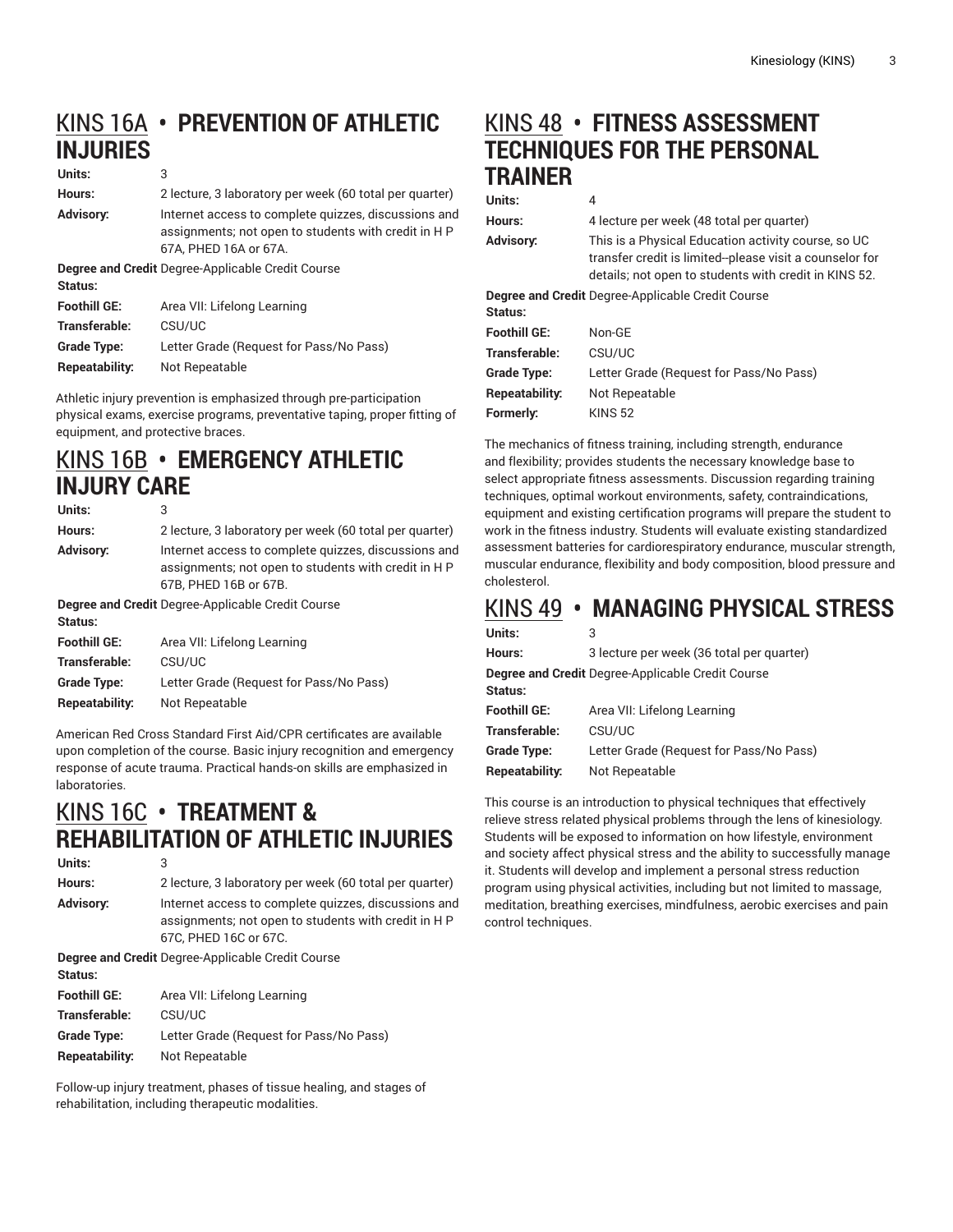# [KINS 16A](http://catalog.foothill.edu/course-outlines/KINS-16A/) **• PREVENTION OF ATHLETIC INJURIES**

#### **Units:** 3

| Hours:<br>Advisory:                               | 2 lecture, 3 laboratory per week (60 total per quarter)<br>Internet access to complete quizzes, discussions and<br>assignments; not open to students with credit in HP |  |
|---------------------------------------------------|------------------------------------------------------------------------------------------------------------------------------------------------------------------------|--|
|                                                   | 67A. PHED 16A or 67A.                                                                                                                                                  |  |
| Degree and Credit Degree-Applicable Credit Course |                                                                                                                                                                        |  |
| Status:                                           |                                                                                                                                                                        |  |
| <b>Foothill GE:</b>                               | Area VII: Lifelong Learning                                                                                                                                            |  |
| Transferable:                                     | CSU/UC                                                                                                                                                                 |  |
| <b>Grade Type:</b>                                | Letter Grade (Request for Pass/No Pass)                                                                                                                                |  |
| Repeatability:                                    | Not Repeatable                                                                                                                                                         |  |
|                                                   |                                                                                                                                                                        |  |

Athletic injury prevention is emphasized through pre-participation physical exams, exercise programs, preventative taping, proper fitting of equipment, and protective braces.

### [KINS 16B](http://catalog.foothill.edu/course-outlines/KINS-16B/) **• EMERGENCY ATHLETIC INJURY CARE**

| Units:                                                              | 3                                                                                                                                     |  |
|---------------------------------------------------------------------|---------------------------------------------------------------------------------------------------------------------------------------|--|
| Hours:                                                              | 2 lecture, 3 laboratory per week (60 total per quarter)                                                                               |  |
| <b>Advisory:</b>                                                    | Internet access to complete quizzes, discussions and<br>assignments, not open to students with credit in H P<br>67B, PHED 16B or 67B. |  |
| <b>Degree and Credit</b> Degree-Applicable Credit Course<br>Status: |                                                                                                                                       |  |
| <b>Foothill GE:</b>                                                 | Area VII: Lifelong Learning                                                                                                           |  |
| Transferable:                                                       | CSU/UC                                                                                                                                |  |
| <b>Grade Type:</b>                                                  | Letter Grade (Request for Pass/No Pass)                                                                                               |  |
| Repeatability:                                                      | Not Repeatable                                                                                                                        |  |

American Red Cross Standard First Aid/CPR certificates are available upon completion of the course. Basic injury recognition and emergency response of acute trauma. Practical hands-on skills are emphasized in laboratories.

# [KINS 16C](http://catalog.foothill.edu/course-outlines/KINS-16C/) **• TREATMENT & REHABILITATION OF ATHLETIC INJURIES**

```
Units: 3
Hours: 2 lecture, 3 laboratory per week (60 total per quarter)
Advisory: Internet access to complete quizzes, discussions and
                assignments; not open to students with credit in H P
               67C, PHED 16C or 67C.
```
**Degree and Credit** Degree-Applicable Credit Course **Status: Foothill GE:** Area VII: Lifelong Learning **Transferable:** CSU/UC **Grade Type:** Letter Grade (Request for Pass/No Pass) **Repeatability:** Not Repeatable

Follow-up injury treatment, phases of tissue healing, and stages of rehabilitation, including therapeutic modalities.

# [KINS 48](http://catalog.foothill.edu/course-outlines/KINS-48/) **• FITNESS ASSESSMENT TECHNIQUES FOR THE PERSONAL TRAINER**

| Units:              | 4                                                                                                                                                                       |
|---------------------|-------------------------------------------------------------------------------------------------------------------------------------------------------------------------|
| Hours:              | 4 lecture per week (48 total per quarter)                                                                                                                               |
| <b>Advisory:</b>    | This is a Physical Education activity course, so UC<br>transfer credit is limited-please visit a counselor for<br>details; not open to students with credit in KINS 52. |
|                     | <b>Degree and Credit</b> Degree-Applicable Credit Course                                                                                                                |
| Status:             |                                                                                                                                                                         |
| <b>Foothill GE:</b> | Non-GF                                                                                                                                                                  |
| Transferable:       | CSU/UC                                                                                                                                                                  |
| <b>Grade Type:</b>  | Letter Grade (Request for Pass/No Pass)                                                                                                                                 |
| Repeatability:      | Not Repeatable                                                                                                                                                          |
| Formerly:           | <b>KINS 52</b>                                                                                                                                                          |
|                     |                                                                                                                                                                         |

The mechanics of fitness training, including strength, endurance and flexibility; provides students the necessary knowledge base to select appropriate fitness assessments. Discussion regarding training techniques, optimal workout environments, safety, contraindications, equipment and existing certification programs will prepare the student to work in the fitness industry. Students will evaluate existing standardized assessment batteries for cardiorespiratory endurance, muscular strength, muscular endurance, flexibility and body composition, blood pressure and cholesterol.

### [KINS 49](http://catalog.foothill.edu/course-outlines/KINS-49/) **• MANAGING PHYSICAL STRESS**

| Units:                                            | 3                                         |  |
|---------------------------------------------------|-------------------------------------------|--|
| Hours:                                            | 3 lecture per week (36 total per quarter) |  |
| Degree and Credit Degree-Applicable Credit Course |                                           |  |
| Status:                                           |                                           |  |
| <b>Foothill GE:</b>                               | Area VII: Lifelong Learning               |  |
| Transferable:                                     | CSU/UC                                    |  |
| <b>Grade Type:</b>                                | Letter Grade (Request for Pass/No Pass)   |  |
| Repeatability:                                    | Not Repeatable                            |  |
|                                                   |                                           |  |

This course is an introduction to physical techniques that effectively relieve stress related physical problems through the lens of kinesiology. Students will be exposed to information on how lifestyle, environment and society affect physical stress and the ability to successfully manage it. Students will develop and implement a personal stress reduction program using physical activities, including but not limited to massage, meditation, breathing exercises, mindfulness, aerobic exercises and pain control techniques.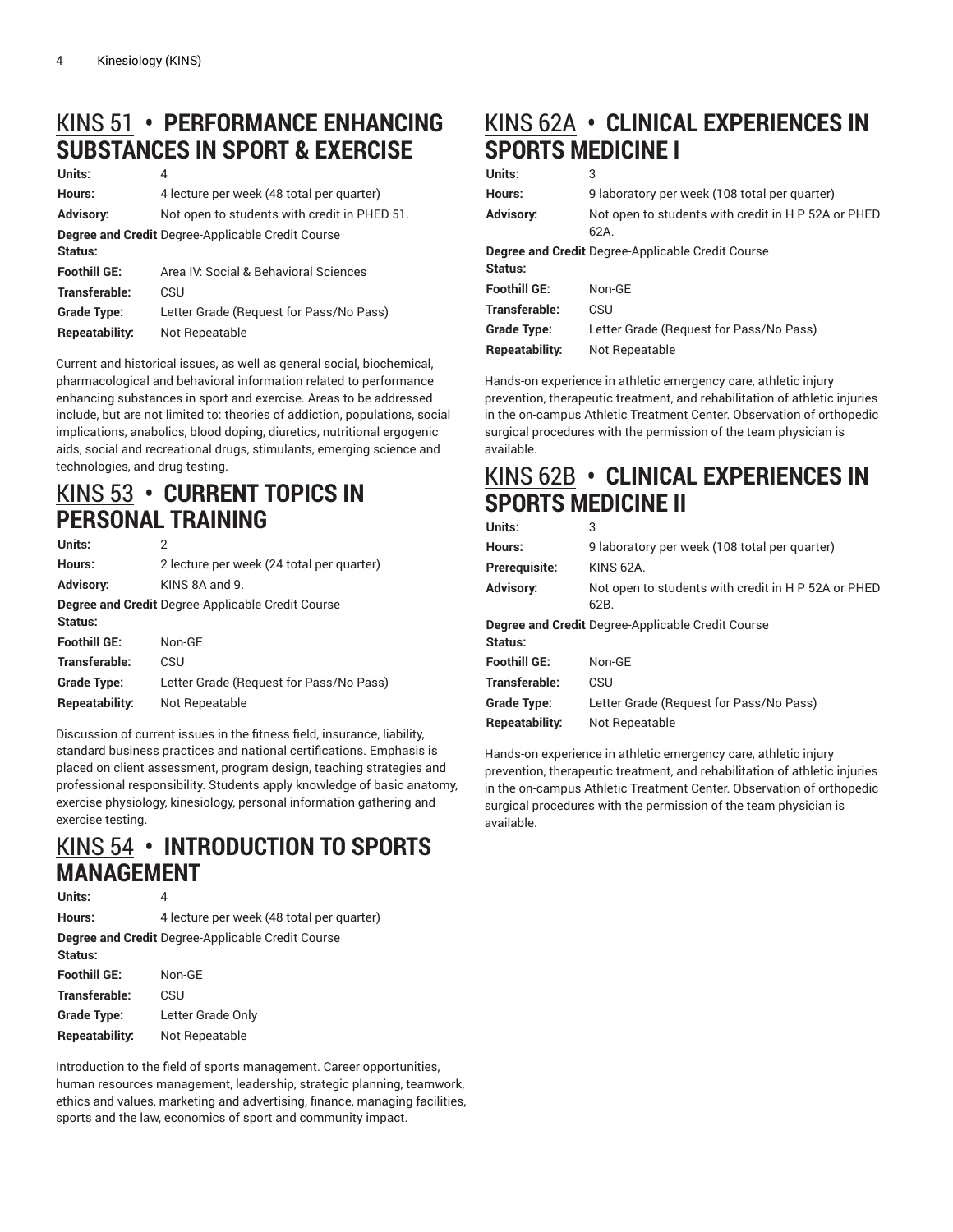# [KINS 51](http://catalog.foothill.edu/course-outlines/KINS-51/) **• PERFORMANCE ENHANCING SUBSTANCES IN SPORT & EXERCISE**

#### **Units:** 4 **Hours:** 4 lecture per week (48 total per quarter) **Advisory:** Not open to students with credit in PHED 51. **Degree and Credit** Degree-Applicable Credit Course **Status: Foothill GE:** Area IV: Social & Behavioral Sciences **Transferable:** CSU **Grade Type:** Letter Grade (Request for Pass/No Pass) **Repeatability:** Not Repeatable

Current and historical issues, as well as general social, biochemical, pharmacological and behavioral information related to performance enhancing substances in sport and exercise. Areas to be addressed include, but are not limited to: theories of addiction, populations, social implications, anabolics, blood doping, diuretics, nutritional ergogenic aids, social and recreational drugs, stimulants, emerging science and technologies, and drug testing.

### [KINS 53](http://catalog.foothill.edu/course-outlines/KINS-53/) **• CURRENT TOPICS IN PERSONAL TRAINING**

| Units:              | 2                                                        |
|---------------------|----------------------------------------------------------|
| Hours:              | 2 lecture per week (24 total per quarter)                |
| <b>Advisory:</b>    | KINS 8A and 9.                                           |
| Status:             | <b>Degree and Credit Degree-Applicable Credit Course</b> |
| <b>Foothill GE:</b> | Non-GE                                                   |
| Transferable:       | CSU                                                      |
| <b>Grade Type:</b>  | Letter Grade (Request for Pass/No Pass)                  |
| Repeatability:      | Not Repeatable                                           |

Discussion of current issues in the fitness field, insurance, liability, standard business practices and national certifications. Emphasis is placed on client assessment, program design, teaching strategies and professional responsibility. Students apply knowledge of basic anatomy, exercise physiology, kinesiology, personal information gathering and exercise testing.

#### [KINS 54](http://catalog.foothill.edu/course-outlines/KINS-54/) **• INTRODUCTION TO SPORTS MANAGEMENT Units:** 4

| UNIUS.              | 4                                                 |
|---------------------|---------------------------------------------------|
| Hours:              | 4 lecture per week (48 total per quarter)         |
|                     | Degree and Credit Degree-Applicable Credit Course |
| Status:             |                                                   |
| <b>Foothill GE:</b> | Non-GE                                            |
| Transferable:       | CSU                                               |
| <b>Grade Type:</b>  | Letter Grade Only                                 |
| Repeatability:      | Not Repeatable                                    |
|                     |                                                   |

Introduction to the field of sports management. Career opportunities, human resources management, leadership, strategic planning, teamwork, ethics and values, marketing and advertising, finance, managing facilities, sports and the law, economics of sport and community impact.

# [KINS 62A](http://catalog.foothill.edu/course-outlines/KINS-62A/) **• CLINICAL EXPERIENCES IN SPORTS MEDICINE I**

#### **Units:** 3

| Hours:                                                   | 9 laboratory per week (108 total per quarter)       |  |
|----------------------------------------------------------|-----------------------------------------------------|--|
| <b>Advisory:</b>                                         | Not open to students with credit in H P 52A or PHED |  |
|                                                          | 62A                                                 |  |
| <b>Degree and Credit</b> Degree-Applicable Credit Course |                                                     |  |
| Status:                                                  |                                                     |  |
| <b>Foothill GE:</b>                                      | Non-GF                                              |  |
| Transferable:                                            | CSU                                                 |  |
| <b>Grade Type:</b>                                       | Letter Grade (Request for Pass/No Pass)             |  |
| Repeatability:                                           | Not Repeatable                                      |  |

Hands-on experience in athletic emergency care, athletic injury prevention, therapeutic treatment, and rehabilitation of athletic injuries in the on-campus Athletic Treatment Center. Observation of orthopedic surgical procedures with the permission of the team physician is available.

### [KINS 62B](http://catalog.foothill.edu/course-outlines/KINS-62B/) **• CLINICAL EXPERIENCES IN SPORTS MEDICINE II**

| Units:              | 3                                                           |
|---------------------|-------------------------------------------------------------|
| Hours:              | 9 laboratory per week (108 total per quarter)               |
| Prerequisite:       | <b>KINS 62A.</b>                                            |
| <b>Advisory:</b>    | Not open to students with credit in H P 52A or PHED<br>62B. |
|                     | <b>Degree and Credit</b> Degree-Applicable Credit Course    |
| Status:             |                                                             |
| <b>Foothill GE:</b> | Non-GF                                                      |
| Transferable:       | CSU                                                         |
| <b>Grade Type:</b>  | Letter Grade (Request for Pass/No Pass)                     |
| Repeatability:      | Not Repeatable                                              |
|                     |                                                             |

Hands-on experience in athletic emergency care, athletic injury prevention, therapeutic treatment, and rehabilitation of athletic injuries in the on-campus Athletic Treatment Center. Observation of orthopedic surgical procedures with the permission of the team physician is available.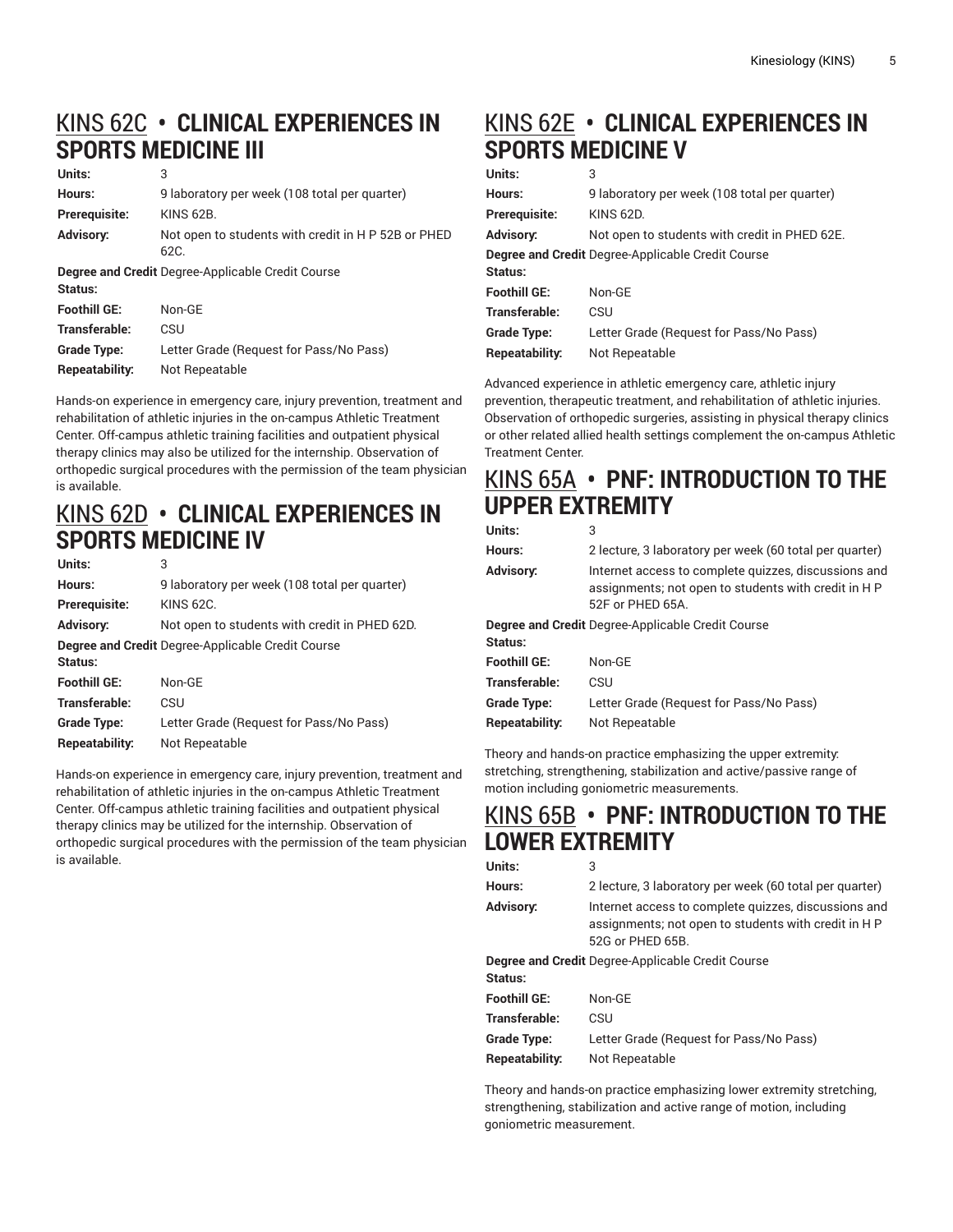# [KINS 62C](http://catalog.foothill.edu/course-outlines/KINS-62C/) **• CLINICAL EXPERIENCES IN SPORTS MEDICINE III**

| Units:              | 3                                                           |
|---------------------|-------------------------------------------------------------|
| Hours:              | 9 laboratory per week (108 total per quarter)               |
| Prerequisite:       | <b>KINS 62B.</b>                                            |
| <b>Advisory:</b>    | Not open to students with credit in H P 52B or PHED<br>62C. |
| Status:             | <b>Degree and Credit Degree-Applicable Credit Course</b>    |
| <b>Foothill GE:</b> | Non-GE                                                      |
| Transferable:       | CSU                                                         |
| <b>Grade Type:</b>  | Letter Grade (Request for Pass/No Pass)                     |
| Repeatability:      | Not Repeatable                                              |
|                     |                                                             |

Hands-on experience in emergency care, injury prevention, treatment and rehabilitation of athletic injuries in the on-campus Athletic Treatment Center. Off-campus athletic training facilities and outpatient physical therapy clinics may also be utilized for the internship. Observation of orthopedic surgical procedures with the permission of the team physician is available.

## [KINS 62D](http://catalog.foothill.edu/course-outlines/KINS-62D/) **• CLINICAL EXPERIENCES IN SPORTS MEDICINE IV**

| Units:                                            | 3                                             |  |
|---------------------------------------------------|-----------------------------------------------|--|
| Hours:                                            | 9 laboratory per week (108 total per quarter) |  |
| <b>Prerequisite:</b>                              | <b>KINS 62C.</b>                              |  |
| <b>Advisory:</b>                                  | Not open to students with credit in PHED 62D. |  |
| Degree and Credit Degree-Applicable Credit Course |                                               |  |
| Status:                                           |                                               |  |
| <b>Foothill GE:</b>                               | Non-GF                                        |  |
| Transferable:                                     | CSU                                           |  |
| <b>Grade Type:</b>                                | Letter Grade (Request for Pass/No Pass)       |  |
| Repeatability:                                    | Not Repeatable                                |  |

Hands-on experience in emergency care, injury prevention, treatment and rehabilitation of athletic injuries in the on-campus Athletic Treatment Center. Off-campus athletic training facilities and outpatient physical therapy clinics may be utilized for the internship. Observation of orthopedic surgical procedures with the permission of the team physician is available.

# [KINS 62E](http://catalog.foothill.edu/course-outlines/KINS-62E/) **• CLINICAL EXPERIENCES IN SPORTS MEDICINE V**

| Units: | 3 |
|--------|---|
|        |   |

| Hours:              | 9 laboratory per week (108 total per quarter)     |
|---------------------|---------------------------------------------------|
| Prerequisite:       | KINS 62D.                                         |
| Advisory:           | Not open to students with credit in PHED 62E.     |
| Status:             | Degree and Credit Degree-Applicable Credit Course |
| <b>Foothill GE:</b> | Non-GE                                            |
| Transferable:       | CSU                                               |
| <b>Grade Type:</b>  | Letter Grade (Request for Pass/No Pass)           |
| Repeatability:      | Not Repeatable                                    |
|                     |                                                   |

Advanced experience in athletic emergency care, athletic injury prevention, therapeutic treatment, and rehabilitation of athletic injuries. Observation of orthopedic surgeries, assisting in physical therapy clinics or other related allied health settings complement the on-campus Athletic Treatment Center.

### [KINS 65A](http://catalog.foothill.edu/course-outlines/KINS-65A/) **• PNF: INTRODUCTION TO THE UPPER EXTREMITY**

| Units:              | 3                                                                                                                                |
|---------------------|----------------------------------------------------------------------------------------------------------------------------------|
| Hours:              | 2 lecture, 3 laboratory per week (60 total per quarter)                                                                          |
| Advisory:           | Internet access to complete quizzes, discussions and<br>assignments; not open to students with credit in H P<br>52F or PHED 65A. |
|                     | Degree and Credit Degree-Applicable Credit Course                                                                                |
| Status:             |                                                                                                                                  |
| <b>Foothill GE:</b> | Non-GE                                                                                                                           |
| Transferable:       | CSU                                                                                                                              |
| Grade Type:         | Letter Grade (Request for Pass/No Pass)                                                                                          |
| Repeatability:      | Not Repeatable                                                                                                                   |

Theory and hands-on practice emphasizing the upper extremity: stretching, strengthening, stabilization and active/passive range of motion including goniometric measurements.

### [KINS 65B](http://catalog.foothill.edu/course-outlines/KINS-65B/) **• PNF: INTRODUCTION TO THE LOWER EXTREMITY**

| Units:                                                   | 3                                                                                                                                |  |
|----------------------------------------------------------|----------------------------------------------------------------------------------------------------------------------------------|--|
| Hours:                                                   | 2 lecture, 3 laboratory per week (60 total per quarter)                                                                          |  |
| <b>Advisory:</b>                                         | Internet access to complete quizzes, discussions and<br>assignments, not open to students with credit in H P<br>52G or PHFD 65B. |  |
| <b>Degree and Credit</b> Degree-Applicable Credit Course |                                                                                                                                  |  |
| Status:                                                  |                                                                                                                                  |  |
| <b>Foothill GE:</b>                                      | Non-GF                                                                                                                           |  |
| Transferable:                                            | CSU                                                                                                                              |  |
| Grade Type:                                              | Letter Grade (Request for Pass/No Pass)                                                                                          |  |
| Repeatability:                                           | Not Repeatable                                                                                                                   |  |

Theory and hands-on practice emphasizing lower extremity stretching, strengthening, stabilization and active range of motion, including goniometric measurement.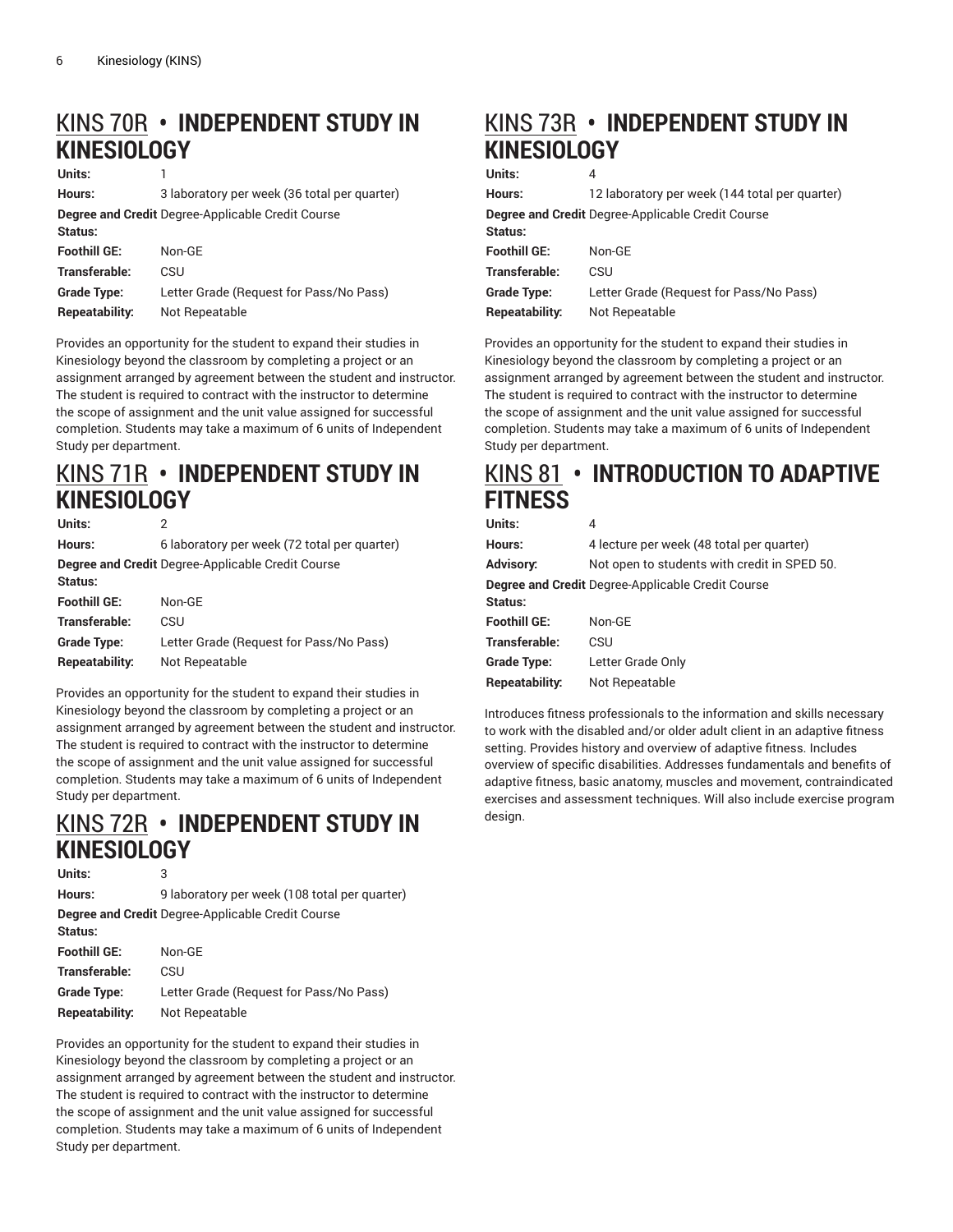## [KINS 70R](http://catalog.foothill.edu/course-outlines/KINS-70R/) **• INDEPENDENT STUDY IN KINESIOLOGY**

**Units:** 1

| Hours:                                                   | 3 laboratory per week (36 total per quarter) |
|----------------------------------------------------------|----------------------------------------------|
| <b>Degree and Credit Degree-Applicable Credit Course</b> |                                              |
| Status:                                                  |                                              |
| <b>Foothill GE:</b>                                      | Non-GE                                       |
| Transferable:                                            | CSU                                          |
| <b>Grade Type:</b>                                       | Letter Grade (Request for Pass/No Pass)      |
| Repeatability:                                           | Not Repeatable                               |

Provides an opportunity for the student to expand their studies in Kinesiology beyond the classroom by completing a project or an assignment arranged by agreement between the student and instructor. The student is required to contract with the instructor to determine the scope of assignment and the unit value assigned for successful completion. Students may take a maximum of 6 units of Independent Study per department.

### [KINS 71R](http://catalog.foothill.edu/course-outlines/KINS-71R/) **• INDEPENDENT STUDY IN KINESIOLOGY**

| Units:                                            | 2                                            |  |
|---------------------------------------------------|----------------------------------------------|--|
| Hours:                                            | 6 laboratory per week (72 total per quarter) |  |
| Degree and Credit Degree-Applicable Credit Course |                                              |  |
| Status:                                           |                                              |  |
| <b>Foothill GE:</b>                               | Non-GF                                       |  |
| Transferable:                                     | CSU                                          |  |
| <b>Grade Type:</b>                                | Letter Grade (Request for Pass/No Pass)      |  |
| <b>Repeatability:</b>                             | Not Repeatable                               |  |

Provides an opportunity for the student to expand their studies in Kinesiology beyond the classroom by completing a project or an assignment arranged by agreement between the student and instructor. The student is required to contract with the instructor to determine the scope of assignment and the unit value assigned for successful completion. Students may take a maximum of 6 units of Independent Study per department.

## [KINS 72R](http://catalog.foothill.edu/course-outlines/KINS-72R/) **• INDEPENDENT STUDY IN KINESIOLOGY**

| Units:             | 3                                                        |
|--------------------|----------------------------------------------------------|
| Hours:             | 9 laboratory per week (108 total per quarter)            |
|                    | <b>Degree and Credit Degree-Applicable Credit Course</b> |
| Status:            |                                                          |
| Foothill GE:       | Non-GF                                                   |
| Transferable:      | CSU                                                      |
| <b>Grade Type:</b> | Letter Grade (Request for Pass/No Pass)                  |
| Repeatability:     | Not Repeatable                                           |

Provides an opportunity for the student to expand their studies in Kinesiology beyond the classroom by completing a project or an assignment arranged by agreement between the student and instructor. The student is required to contract with the instructor to determine the scope of assignment and the unit value assigned for successful completion. Students may take a maximum of 6 units of Independent Study per department.

# [KINS 73R](http://catalog.foothill.edu/course-outlines/KINS-73R/) **• INDEPENDENT STUDY IN KINESIOLOGY**

**Units:** 4

| Hours:              | 12 laboratory per week (144 total per quarter)           |
|---------------------|----------------------------------------------------------|
| Status:             | <b>Degree and Credit Degree-Applicable Credit Course</b> |
| <b>Foothill GE:</b> | $Non-GF$                                                 |
| Transferable:       | CSU                                                      |
| <b>Grade Type:</b>  | Letter Grade (Request for Pass/No Pass)                  |
| Repeatability:      | Not Repeatable                                           |
|                     |                                                          |

Provides an opportunity for the student to expand their studies in Kinesiology beyond the classroom by completing a project or an assignment arranged by agreement between the student and instructor. The student is required to contract with the instructor to determine the scope of assignment and the unit value assigned for successful completion. Students may take a maximum of 6 units of Independent Study per department.

## [KINS 81](http://catalog.foothill.edu/course-outlines/KINS-81/) **• INTRODUCTION TO ADAPTIVE FITNESS**

| Units:               | 4                                                 |
|----------------------|---------------------------------------------------|
| Hours:               | 4 lecture per week (48 total per quarter)         |
| Advisory:            | Not open to students with credit in SPED 50.      |
| Status:              | Degree and Credit Degree-Applicable Credit Course |
| <b>Foothill GE:</b>  | Non-GE                                            |
| <b>Transferable:</b> | CSU                                               |
| <b>Grade Type:</b>   | Letter Grade Only                                 |
| Repeatability:       | Not Repeatable                                    |

Introduces fitness professionals to the information and skills necessary to work with the disabled and/or older adult client in an adaptive fitness setting. Provides history and overview of adaptive fitness. Includes overview of specific disabilities. Addresses fundamentals and benefits of adaptive fitness, basic anatomy, muscles and movement, contraindicated exercises and assessment techniques. Will also include exercise program design.